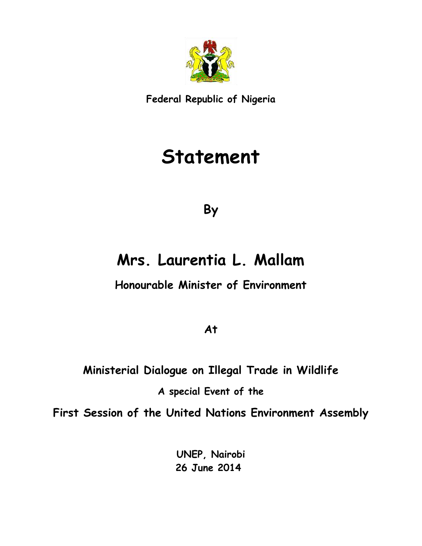

**Federal Republic of Nigeria**

# **Statement**

**By**

### **Mrs. Laurentia L. Mallam**

**Honourable Minister of Environment**

**At**

## **Ministerial Dialogue on Illegal Trade in Wildlife**

#### **A special Event of the**

**First Session of the United Nations Environment Assembly**

**UNEP, Nairobi 26 June 2014**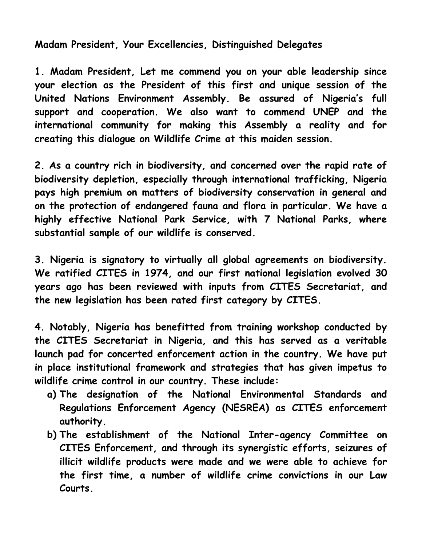#### **Madam President, Your Excellencies, Distinguished Delegates**

**1. Madam President, Let me commend you on your able leadership since your election as the President of this first and unique session of the United Nations Environment Assembly. Be assured of Nigeria's full support and cooperation. We also want to commend UNEP and the international community for making this Assembly a reality and for creating this dialogue on Wildlife Crime at this maiden session.**

**2. As a country rich in biodiversity, and concerned over the rapid rate of biodiversity depletion, especially through international trafficking, Nigeria pays high premium on matters of biodiversity conservation in general and on the protection of endangered fauna and flora in particular. We have a highly effective National Park Service, with 7 National Parks, where substantial sample of our wildlife is conserved.**

**3. Nigeria is signatory to virtually all global agreements on biodiversity. We ratified CITES in 1974, and our first national legislation evolved 30 years ago has been reviewed with inputs from CITES Secretariat, and the new legislation has been rated first category by CITES.**

**4. Notably, Nigeria has benefitted from training workshop conducted by the CITES Secretariat in Nigeria, and this has served as a veritable launch pad for concerted enforcement action in the country. We have put in place institutional framework and strategies that has given impetus to wildlife crime control in our country. These include:**

- **a) The designation of the National Environmental Standards and Regulations Enforcement Agency (NESREA) as CITES enforcement authority.**
- **b) The establishment of the National Inter-agency Committee on CITES Enforcement, and through its synergistic efforts, seizures of illicit wildlife products were made and we were able to achieve for the first time, a number of wildlife crime convictions in our Law Courts.**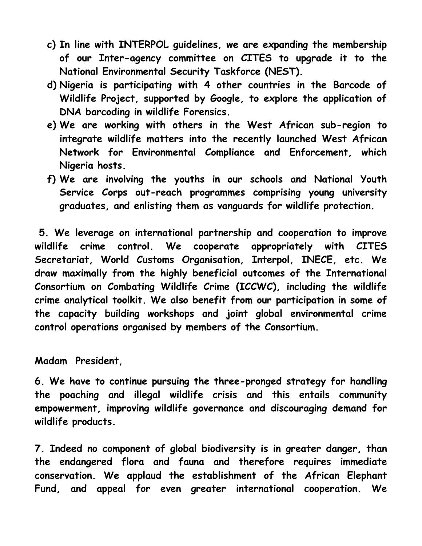- **c) In line with INTERPOL guidelines, we are expanding the membership of our Inter-agency committee on CITES to upgrade it to the National Environmental Security Taskforce (NEST).**
- **d) Nigeria is participating with 4 other countries in the Barcode of Wildlife Project, supported by Google, to explore the application of DNA barcoding in wildlife Forensics.**
- **e) We are working with others in the West African sub-region to integrate wildlife matters into the recently launched West African Network for Environmental Compliance and Enforcement, which Nigeria hosts.**
- **f) We are involving the youths in our schools and National Youth Service Corps out-reach programmes comprising young university graduates, and enlisting them as vanguards for wildlife protection.**

**5. We leverage on international partnership and cooperation to improve wildlife crime control. We cooperate appropriately with CITES Secretariat, World Customs Organisation, Interpol, INECE, etc. We draw maximally from the highly beneficial outcomes of the International Consortium on Combating Wildlife Crime (ICCWC), including the wildlife crime analytical toolkit. We also benefit from our participation in some of the capacity building workshops and joint global environmental crime control operations organised by members of the Consortium.**

**Madam President,** 

**6. We have to continue pursuing the three-pronged strategy for handling the poaching and illegal wildlife crisis and this entails community empowerment, improving wildlife governance and discouraging demand for wildlife products.**

**7. Indeed no component of global biodiversity is in greater danger, than the endangered flora and fauna and therefore requires immediate conservation. We applaud the establishment of the African Elephant Fund, and appeal for even greater international cooperation. We**